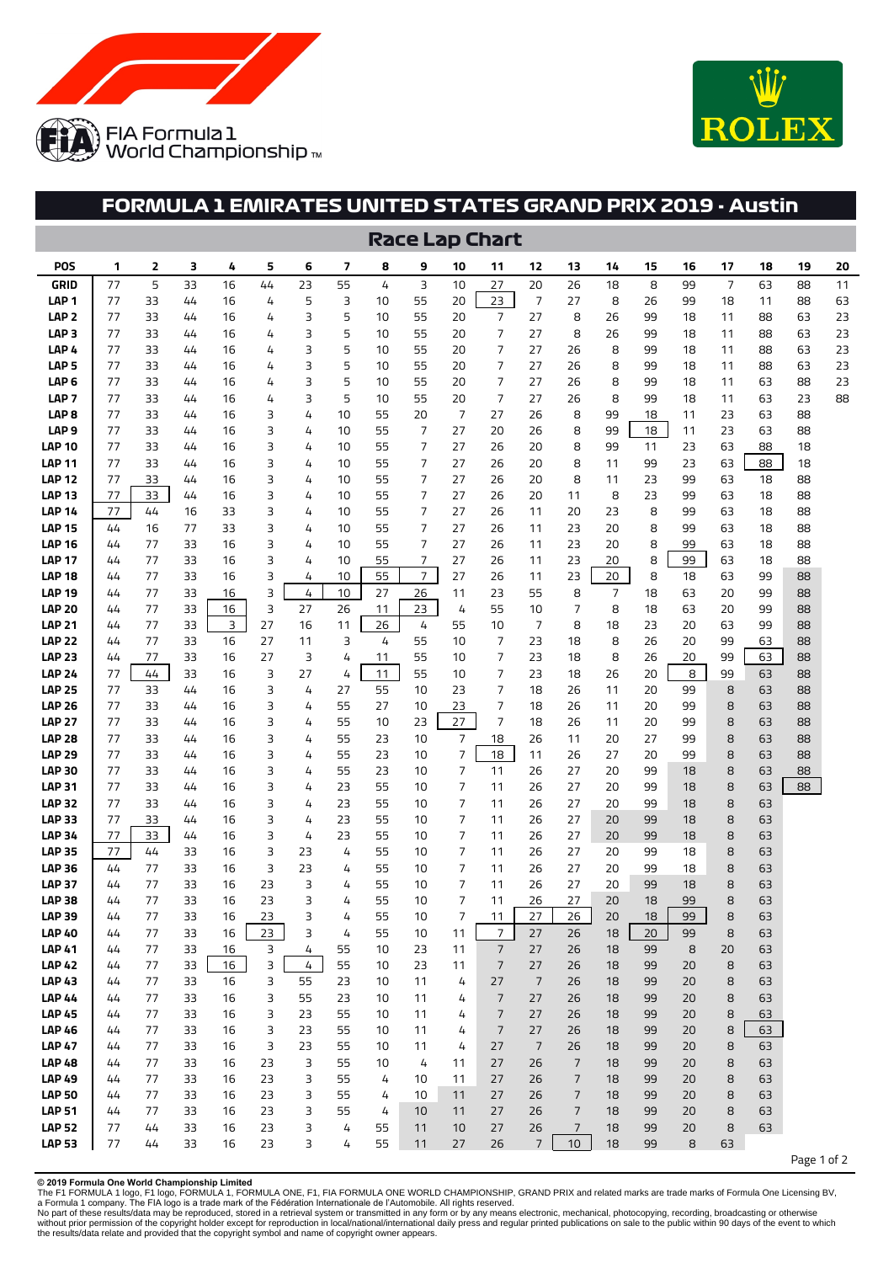



## **FORMULA 1 EMIRATES UNITED STATES GRAND PRIX 2019 - Austin**

|                                      | <b>Race Lap Chart</b> |          |          |          |        |          |          |          |                     |                |                |                |                |          |          |          |          |          |             |          |
|--------------------------------------|-----------------------|----------|----------|----------|--------|----------|----------|----------|---------------------|----------------|----------------|----------------|----------------|----------|----------|----------|----------|----------|-------------|----------|
| <b>POS</b>                           | 1                     | 2        | 3        | 4        | 5      | 6        | 7        | 8        | 9                   | 10             | 11             | 12             | 13             | 14       | 15       | 16       | 17       | 18       | 19          | 20       |
| GRID                                 | 77                    | 5        | 33       | 16       | 44     | 23       | 55       | 4        | 3                   | 10             | 27             | 20             | 26             | 18       | 8        | 99       | 7        | 63       | 88          | 11       |
| LAP <sub>1</sub>                     | 77                    | 33       | 44       | 16       | 4      | 5        | 3        | 10       | 55                  | 20             | 23             | 7              | 27             | 8        | 26       | 99       | 18       | 11       | 88          | 63       |
| LAP <sub>2</sub>                     | 77                    | 33       | 44       | 16       | 4      | 3        | 5        | 10       | 55                  | 20             | 7              | 27             | 8              | 26       | 99       | 18       | 11       | 88       | 63          | 23       |
| LAP <sub>3</sub><br>LAP <sub>4</sub> | 77<br>77              | 33<br>33 | 44       | 16<br>16 | 4      | 3<br>3   | 5<br>5   | 10<br>10 | 55<br>55            | 20<br>20       | 7<br>7         | 27<br>27       | 8<br>26        | 26<br>8  | 99<br>99 | 18<br>18 | 11<br>11 | 88<br>88 | 63<br>63    | 23<br>23 |
| LAP <sub>5</sub>                     | 77                    | 33       | 44<br>44 | 16       | 4<br>4 | 3        | 5        | 10       | 55                  | 20             | 7              | 27             | 26             | 8        | 99       | 18       | 11       | 88       | 63          | 23       |
| LAP <sub>6</sub>                     | 77                    | 33       | 44       | 16       | 4      | 3        | 5        | 10       | 55                  | 20             | 7              | 27             | 26             | 8        | 99       | 18       | 11       | 63       | 88          | 23       |
| LAP <sub>7</sub>                     | 77                    | 33       | 44       | 16       | 4      | 3        | 5        | 10       | 55                  | 20             | 7              | 27             | 26             | 8        | 99       | 18       | 11       | 63       | 23          | 88       |
| LAP 8                                | 77                    | 33       | 44       | 16       | 3      | 4        | 10       | 55       | 20                  | 7              | 27             | 26             | 8              | 99       | 18       | 11       | 23       | 63       | 88          |          |
| LAP <sub>9</sub>                     | 77                    | 33       | 44       | 16       | 3      | 4        | 10       | 55       | 7                   | 27             | 20             | 26             | 8              | 99       | 18       | 11       | 23       | 63       | 88          |          |
| LAP 10                               | 77                    | 33       | 44       | 16       | 3      | 4        | 10       | 55       | 7                   | 27             | 26             | 20             | 8              | 99       | 11       | 23       | 63       | 88       | 18          |          |
| LAP 11                               | 77                    | 33       | 44       | 16       | 3      | 4        | 10       | 55       | 7                   | 27             | 26             | 20             | 8              | 11       | 99       | 23       | 63       | 88       | 18          |          |
| LAP 12                               | 77                    | 33       | 44       | 16       | 3      | 4        | 10       | 55       | 7                   | 27             | 26             | 20             | 8              | 11       | 23       | 99       | 63       | 18       | 88          |          |
| LAP 13                               | 77                    | 33       | 44       | 16       | 3      | 4        | 10       | 55       | 7                   | 27             | 26             | 20             | 11             | 8        | 23       | 99       | 63       | 18       | 88          |          |
| LAP 14                               | 77                    | 44       | 16       | 33       | 3      | 4        | 10       | 55       | 7                   | 27             | 26             | 11             | 20             | 23       | 8        | 99       | 63       | 18       | 88          |          |
| LAP 15                               | 44                    | 16       | 77       | 33       | 3      | 4        | 10       | 55       | 7                   | 27             | 26             | 11             | 23             | 20       | 8        | 99       | 63       | 18       | 88          |          |
| LAP 16                               | 44                    | 77       | 33       | 16       | 3      | 4        | 10       | 55       | 7                   | 27             | 26             | 11             | 23             | 20       | 8        | 99       | 63       | 18       | 88          |          |
| LAP 17<br>LAP 18                     | 44<br>44              | 77<br>77 | 33<br>33 | 16<br>16 | 3<br>3 | 4<br>4   | 10<br>10 | 55<br>55 | 7<br>$\overline{7}$ | 27<br>27       | 26<br>26       | 11<br>11       | 23<br>23       | 20<br>20 | 8<br>8   | 99<br>18 | 63<br>63 | 18<br>99 | 88<br>88    |          |
| <b>LAP 19</b>                        | 44                    | 77       | 33       | 16       | 3      | 4        | 10       | 27       | 26                  | 11             | 23             | 55             | 8              | 7        | 18       | 63       | 20       | 99       | 88          |          |
| <b>LAP 20</b>                        | 44                    | 77       | 33       | 16       | 3      | 27       | 26       | 11       | 23                  | 4              | 55             | 10             | 7              | 8        | 18       | 63       | 20       | 99       | 88          |          |
| LAP 21                               | 44                    | 77       | 33       | 3        | 27     | 16       | 11       | 26       | 4                   | 55             | 10             | 7              | 8              | 18       | 23       | 20       | 63       | 99       | 88          |          |
| LAP 22                               | 44                    | 77       | 33       | 16       | 27     | 11       | 3        | 4        | 55                  | 10             | 7              | 23             | 18             | 8        | 26       | 20       | 99       | 63       | 88          |          |
| LAP 23                               | 44                    | 77       | 33       | 16       | 27     | 3        | 4        | 11       | 55                  | 10             | 7              | 23             | 18             | 8        | 26       | 20       | 99       | 63       | 88          |          |
| <b>LAP 24</b>                        | 77                    | 44       | 33       | 16       | 3      | 27       | 4        | 11       | 55                  | 10             | 7              | 23             | 18             | 26       | 20       | 8        | 99       | 63       | 88          |          |
| LAP 25                               | 77                    | 33       | 44       | 16       | 3      | 4        | 27       | 55       | 10                  | 23             | 7              | 18             | 26             | 11       | 20       | 99       | 8        | 63       | 88          |          |
| <b>LAP 26</b>                        | 77                    | 33       | 44       | 16       | 3      | 4        | 55       | 27       | 10                  | 23             | 7              | 18             | 26             | 11       | 20       | 99       | 8        | 63       | 88          |          |
| LAP 27                               | 77                    | 33       | 44       | 16       | 3      | 4        | 55       | 10       | 23                  | 27             | 7              | 18             | 26             | 11       | 20       | 99       | 8        | 63       | 88          |          |
| LAP 28                               | 77                    | 33       | 44       | 16       | 3      | 4        | 55       | 23       | 10                  | 7              | 18             | 26             | 11             | 20       | 27       | 99       | 8        | 63       | 88          |          |
| <b>LAP 29</b>                        | 77                    | 33       | 44       | 16       | 3      | 4        | 55       | 23       | 10                  | 7              | 18             | 11             | 26             | 27       | 20       | 99       | 8        | 63       | 88          |          |
| LAP 30                               | 77                    | 33       | 44       | 16       | 3      | 4        | 55       | 23       | 10                  | $\overline{7}$ | 11             | 26             | 27             | 20       | 99       | 18       | 8        | 63       | 88          |          |
| LAP 31<br>LAP 32                     | 77<br>77              | 33<br>33 | 44<br>44 | 16<br>16 | 3<br>3 | 4<br>4   | 23<br>23 | 55<br>55 | 10<br>10            | 7<br>7         | 11<br>11       | 26<br>26       | 27<br>27       | 20<br>20 | 99<br>99 | 18<br>18 | 8<br>8   | 63<br>63 | 88          |          |
| LAP 33                               | 77                    | 33       | 44       | 16       | 3      | 4        | 23       | 55       | 10                  | 7              | 11             | 26             | 27             | 20       | 99       | 18       | 8        | 63       |             |          |
| <b>LAP 34</b>                        | 77                    | 33       | 44       | 16       | 3      | 4        | 23       | 55       | 10                  | 7              | 11             | 26             | 27             | 20       | 99       | 18       | 8        | 63       |             |          |
| <b>LAP 35</b>                        | 77                    | 44       | 33       | 16       | 3      | 23       | 4        | 55       | 10                  | 7              | 11             | 26             | 27             | 20       | 99       | 18       | 8        | 63       |             |          |
| LAP 36                               | 44                    | 77       | 33       | 16       | 3      | 23       | 4        | 55       | 10                  | 7              | 11             | 26             | 27             | 20       | 99       | 18       | 8        | 63       |             |          |
| LAP 37                               | 44                    | 77       | 33       | 16       | 23     | 3        | 4        | 55       | 10                  | 7              | 11             | 26             | 27             | 20       | 99       | 18       | 8        | 63       |             |          |
| <b>LAP 38</b>                        | 44                    | 77       | 33       | 16       | 23     | 3        | 4        | 55       | 10                  | 7              | 11             | 26             | 27             | 20       | 18       | 99       | 8        | 63       |             |          |
| <b>LAP 39</b>                        | 44                    | 77       | 33       | 16       | 23     | 3        | 4        | 55       | 10                  | 7              | 11             | 27             | 26             | 20       | 18       | 99       | 8        | 63       |             |          |
| <b>LAP 40</b>                        | 44                    | 77       | 33       | 16       | 23     | 3        | 4        | 55       | 10                  | 11             | $\overline{7}$ | 27             | 26             | 18       | 20       | 99       | 8        | 63       |             |          |
| <b>LAP 41</b>                        | 44                    | 77       | 33       | 16       | 3      | 4        | 55       | 10       | 23                  | 11             | $\overline{7}$ | 27             | 26             | 18       | 99       | 8        | 20       | 63       |             |          |
| <b>LAP 42</b>                        | 44                    | 77       | 33       | 16       | 3      | 4        | 55       | 10       | 23                  | 11             | $\overline{7}$ | 27             | 26             | 18       | 99       | 20       | 8        | 63       |             |          |
| <b>LAP 43</b><br><b>LAP 44</b>       | 44<br>44              | 77<br>77 | 33<br>33 | 16<br>16 | 3<br>3 | 55<br>55 | 23<br>23 | 10<br>10 | 11<br>11            | 4<br>4         | 27<br>7        | 7<br>27        | 26<br>26       | 18<br>18 | 99<br>99 | 20<br>20 | 8<br>8   | 63<br>63 |             |          |
| <b>LAP 45</b>                        | 44                    | 77       | 33       | 16       | 3      | 23       | 55       | 10       | 11                  | 4              | $\overline{7}$ | 27             | 26             | 18       | 99       | 20       | 8        | 63       |             |          |
| <b>LAP 46</b>                        | 44                    | 77       | 33       | 16       | 3      | 23       | 55       | 10       | 11                  | 4              | $\overline{7}$ | 27             | 26             | 18       | 99       | 20       | 8        | 63       |             |          |
| <b>LAP 47</b>                        | 44                    | 77       | 33       | 16       | 3      | 23       | 55       | 10       | 11                  | 4              | 27             | $\overline{7}$ | 26             | 18       | 99       | 20       | 8        | 63       |             |          |
| <b>LAP 48</b>                        | 44                    | 77       | 33       | 16       | 23     | 3        | 55       | 10       | 4                   | 11             | 27             | 26             | $\overline{7}$ | 18       | 99       | 20       | 8        | 63       |             |          |
| <b>LAP 49</b>                        | 44                    | 77       | 33       | 16       | 23     | 3        | 55       | 4        | 10                  | 11             | 27             | 26             | 7              | 18       | 99       | 20       | 8        | 63       |             |          |
| <b>LAP 50</b>                        | 44                    | 77       | 33       | 16       | 23     | 3        | 55       | 4        | 10                  | 11             | 27             | 26             | $\overline{7}$ | 18       | 99       | 20       | 8        | 63       |             |          |
| <b>LAP 51</b>                        | 44                    | 77       | 33       | 16       | 23     | 3        | 55       | 4        | 10                  | 11             | 27             | 26             | $\overline{7}$ | 18       | 99       | 20       | 8        | 63       |             |          |
| <b>LAP 52</b>                        | 77                    | 44       | 33       | 16       | 23     | З        | 4        | 55       | 11                  | 10             | 27             | 26             | $\overline{7}$ | 18       | 99       | 20       | 8        | 63       |             |          |
| <b>LAP 53</b>                        | 77                    | 44       | 33       | 16       | 23     | 3        | 4        | 55       | 11                  | 27             | 26             | $\overline{7}$ | 10             | 18       | 99       | 8        | 63       |          |             |          |
|                                      |                       |          |          |          |        |          |          |          |                     |                |                |                |                |          |          |          |          |          | Page 1 of 2 |          |

**© 2019 Formula One World Championship Limited**

The F1 FORMULA 1 logo, F1 logo, FORMULA 1, FORMULA ONE, F1, FIA FORMULA ONE WORLD CHAMPIONSHIP, GRAND PRIX and related marks are trade marks of Formula One Licensing BV,<br>No part of these results/data may be reproduced, sto